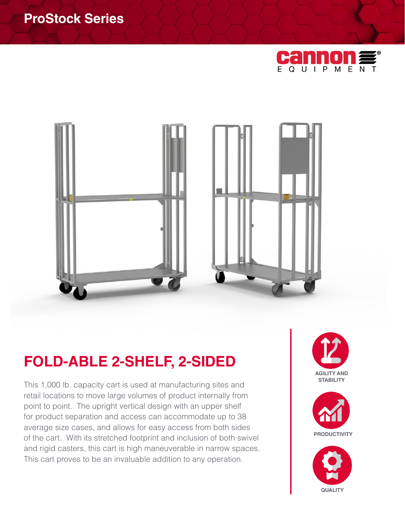# **ProStock Series**





# **FOLD-ABLE 2-SHELF, 2-SIDED**

This 1,000 lb. capacity cart is used at manufacturing sites and retail locations to move large volumes of product internally from point to point. The upright vertical design with an upper shelf for product separation and access can accommodate up to 38 average size cases, and allows for easy access from both sides of the cart. With its stretched footprint and inclusion of both swivel and rigid casters, this cart is high maneuverable in narrow spaces. This cart proves to be an invaluable addition to any operation.